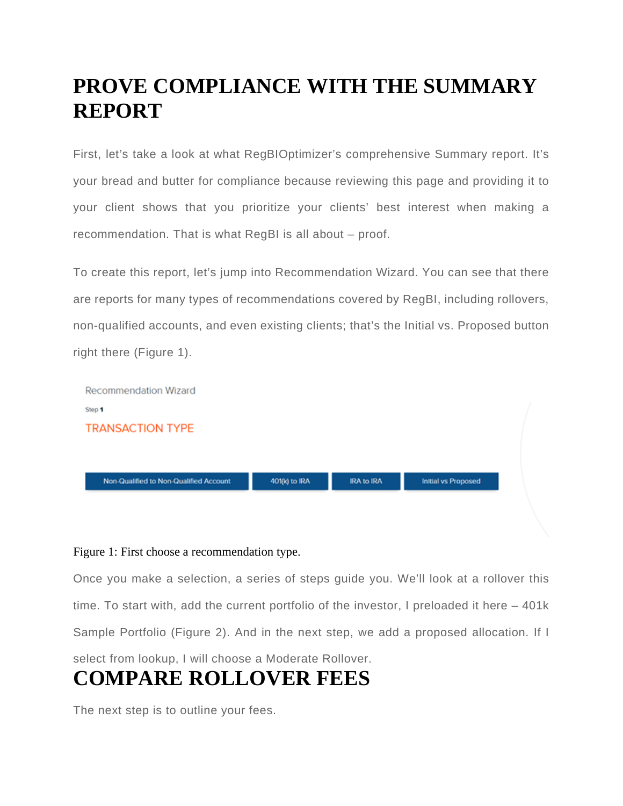### **PROVE COMPLIANCE WITH THE SUMMARY REPORT**

First, let's take a look at what RegBIOptimizer's comprehensive Summary report. It's your bread and butter for compliance because reviewing this page and providing it to your client shows that you prioritize your clients' best interest when making a recommendation. That is what RegBI is all about – proof.

To create this report, let's jump into Recommendation Wizard. You can see that there are reports for many types of recommendations covered by RegBI, including rollovers, non-qualified accounts, and even existing clients; that's the Initial vs. Proposed button right there (Figure 1).



#### Figure 1: First choose a recommendation type.

Once you make a selection, a series of steps guide you. We'll look at a rollover this time. To start with, add the current portfolio of the investor, I preloaded it here – 401k Sample Portfolio (Figure 2). And in the next step, we add a proposed allocation. If I select from lookup, I will choose a Moderate Rollover.

## **COMPARE ROLLOVER FEES**

The next step is to outline your fees.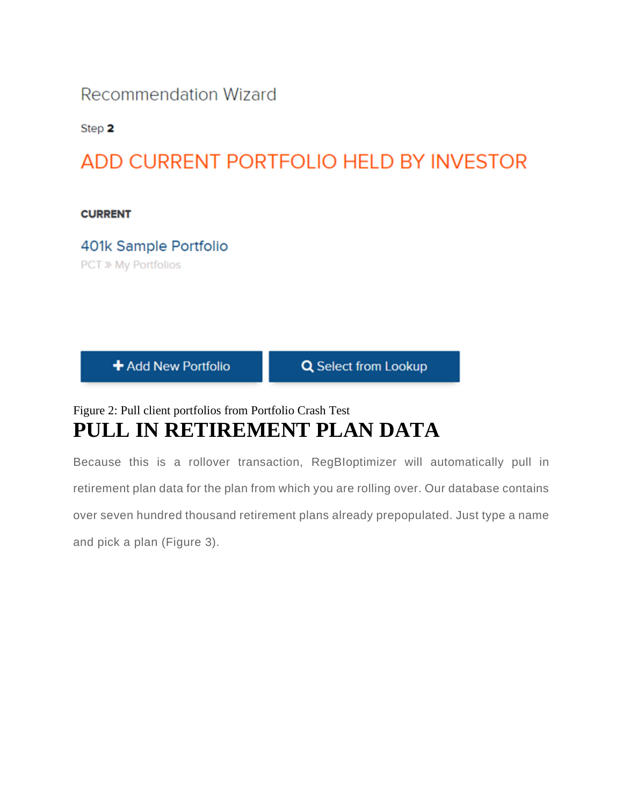### **Recommendation Wizard**

Step 2

### ADD CURRENT PORTFOLIO HELD BY INVESTOR

**CURRENT** 

401k Sample Portfolio **PCT » My Portfolios** 

+ Add New Portfolio

**Q** Select from Lookup

### Figure 2: Pull client portfolios from Portfolio Crash Test **PULL IN RETIREMENT PLAN DATA**

Because this is a rollover transaction, RegBIoptimizer will automatically pull in retirement plan data for the plan from which you are rolling over. Our database contains over seven hundred thousand retirement plans already prepopulated. Just type a name and pick a plan (Figure 3).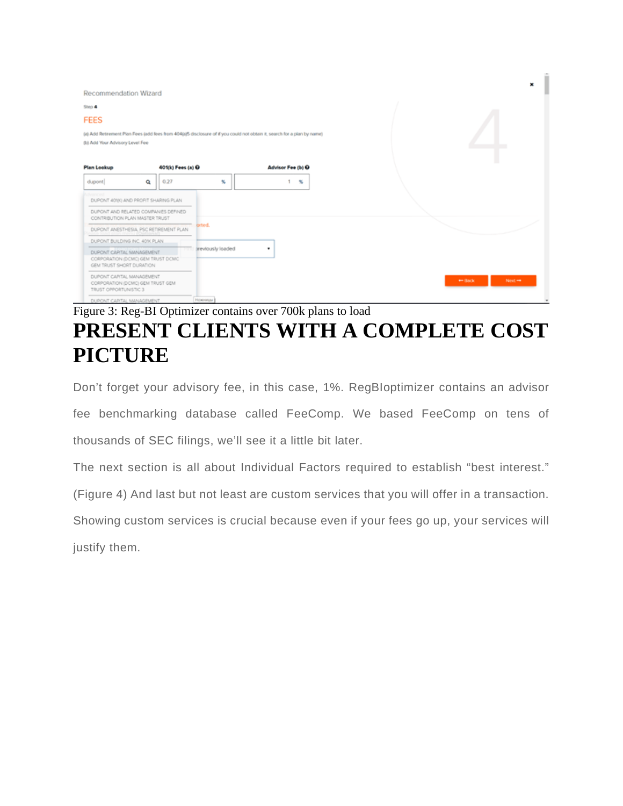| Recommendation Wizard                                                                       |          |                   |                   |                                                                                                                          |                                         |
|---------------------------------------------------------------------------------------------|----------|-------------------|-------------------|--------------------------------------------------------------------------------------------------------------------------|-----------------------------------------|
| Step 4                                                                                      |          |                   |                   |                                                                                                                          |                                         |
| <b>FEES</b>                                                                                 |          |                   |                   |                                                                                                                          |                                         |
| (b) Add Your Advisory Level Fee                                                             |          |                   |                   | (a) Add Retirement Plan Fees (add fees from 404(a)5 disclosure of if you could not obtain it, search for a plan by name) |                                         |
| <b>Plan Lookup</b>                                                                          |          | 401(k) Fees (a) O |                   | Advisor Fee (b) O                                                                                                        |                                         |
| dupont                                                                                      | $\alpha$ | 0.27              | x                 | $\boldsymbol{\kappa}$                                                                                                    |                                         |
| <b>Syaricad</b><br>DUPONT 4018) AND PROFIT SHARING PLAN                                     |          |                   |                   |                                                                                                                          |                                         |
| DUPONT AND RELATED COMPANIES DEFINED<br>CONTRIBUTION PLAN MASTER TRUST                      |          |                   |                   |                                                                                                                          |                                         |
| DUPONT ANESTHESIA, PSC RETIREMENT PLAN                                                      |          |                   | orted.            |                                                                                                                          |                                         |
| DUPONT BUILDING INC. 40% PLAN.                                                              |          |                   |                   |                                                                                                                          |                                         |
| DUPONT CAPITAL MANAGEMENT<br>CORPORATION (DCMC) GEM TRUST DCMC<br>GEM TRUST SHORT DURATION. |          | <b>TELEVISION</b> | treviously loaded | ٠                                                                                                                        |                                         |
| DUPONT CAPITAL MANAGEMENT<br>CORPORATION (DCMC) GEM TRUST GEM<br>TRUST OPPORTUNISTIC 3      |          |                   |                   |                                                                                                                          | Next $\rightarrow$<br>$\leftarrow$ Back |
| DUPONT CAPITAL MANAGEMENT                                                                   |          |                   | Howway            |                                                                                                                          |                                         |

### Figure 3: Reg-BI Optimizer contains over 700k plans to load **PRESENT CLIENTS WITH A COMPLETE COST PICTURE**

Don't forget your advisory fee, in this case, 1%. RegBIoptimizer contains an advisor fee benchmarking database called FeeComp. We based FeeComp on tens of thousands of SEC filings, we'll see it a little bit later.

The next section is all about Individual Factors required to establish "best interest."

(Figure 4) And last but not least are custom services that you will offer in a transaction.

Showing custom services is crucial because even if your fees go up, your services will justify them.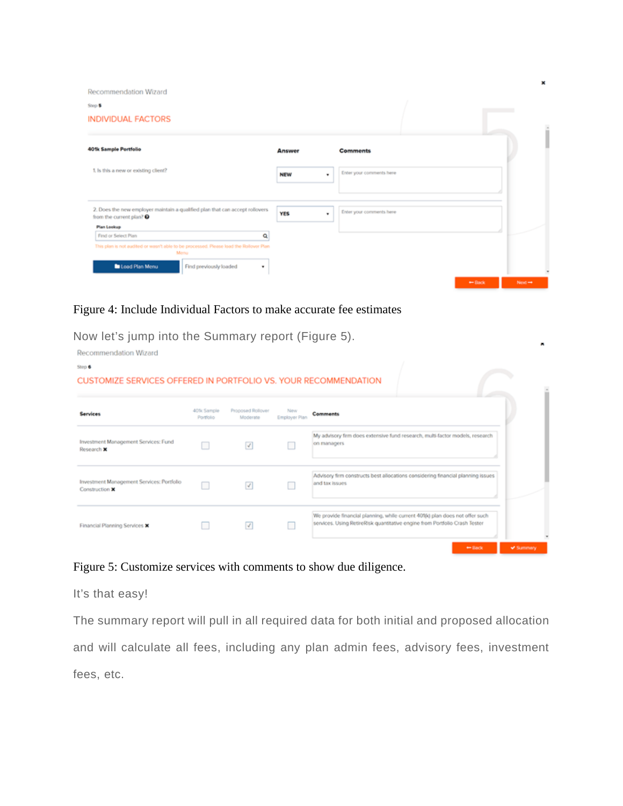Recommendation Wizard

| Step <b>5</b><br><b>INDIVIDUAL FACTORS</b>                                                                                                                                                 |                 |                          |          |                    |
|--------------------------------------------------------------------------------------------------------------------------------------------------------------------------------------------|-----------------|--------------------------|----------|--------------------|
| <b>401k Sample Portfolio</b>                                                                                                                                                               | <b>Answer</b>   | <b>Comments</b>          |          |                    |
| 1. Is this a new or existing client?                                                                                                                                                       | <b>NEW</b><br>٠ | Enter your comments here |          |                    |
| 2. Does the new employer maintain a qualified plan that can accept rollovers<br>from the current plan? <sup>O</sup>                                                                        | <b>YES</b><br>٠ | Enter your comments here |          |                    |
| Plan Lookup<br>Find or Select Plan<br>Q<br>This plan is not audited or wasn't able to be processed. Please load the Rollover Plan<br>Monu<br>Load Plan Menu<br>Find previously loaded<br>٠ |                 |                          |          |                    |
|                                                                                                                                                                                            |                 |                          | $-$ Back | Next $\rightarrow$ |

×

#### Figure 4: Include Individual Factors to make accurate fee estimates

Now let's jump into the Summary report (Figure 5).

| Recommendation Wizard                                           |                                       |                               |                      |                                                                                                                                                            |                  |
|-----------------------------------------------------------------|---------------------------------------|-------------------------------|----------------------|------------------------------------------------------------------------------------------------------------------------------------------------------------|------------------|
| Step 6                                                          |                                       |                               |                      |                                                                                                                                                            |                  |
| CUSTOMIZE SERVICES OFFERED IN PORTFOLIO VS. YOUR RECOMMENDATION |                                       |                               |                      |                                                                                                                                                            |                  |
| Services                                                        | 40 <sup>t</sup> k Sample<br>Portfolio | Proposed Rollover<br>Moderate | New<br>Employer Plan | Comments                                                                                                                                                   |                  |
| Investment Management Services: Fund<br>Research X              |                                       | ☑                             |                      | My advisory firm does extensive fund research, multi-factor models, research<br>on managers                                                                |                  |
| Investment Management Services: Portfolio<br>Construction X     |                                       | $\overline{\mathcal{A}}$      |                      | Advisory firm constructs best allocations considering financial planning issues<br>and tax issues                                                          |                  |
| Financial Planning Services X                                   |                                       | $\mathcal{J}$                 |                      | We provide financial planning, while current 401(k) plan does not offer such<br>services. Using RetireRisk quantitative engine from Portfolio Crash Tester |                  |
|                                                                 |                                       |                               |                      | $\leftrightarrow$ Back                                                                                                                                     | <b>V</b> Summary |

#### Figure 5: Customize services with comments to show due diligence.

It's that easy!

The summary report will pull in all required data for both initial and proposed allocation and will calculate all fees, including any plan admin fees, advisory fees, investment fees, etc.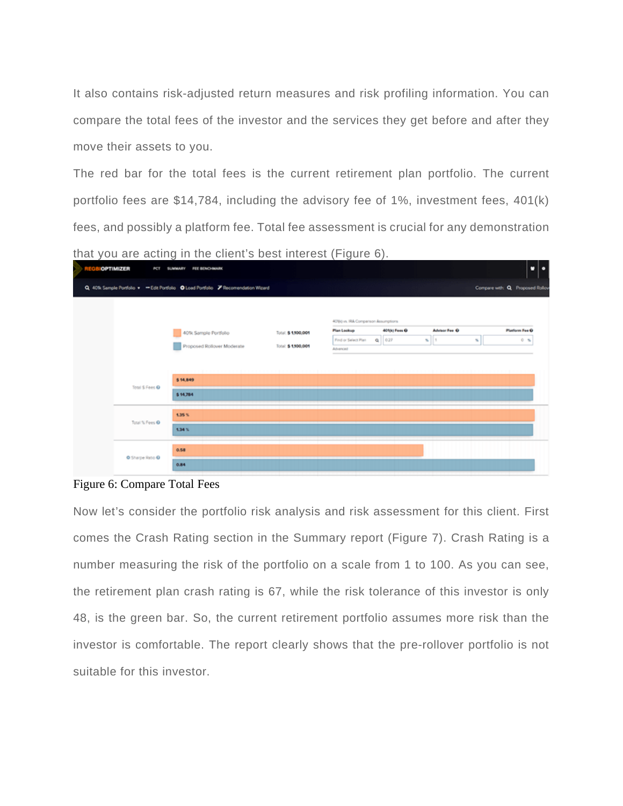It also contains risk-adjusted return measures and risk profiling information. You can compare the total fees of the investor and the services they get before and after they move their assets to you.

The red bar for the total fees is the current retirement plan portfolio. The current portfolio fees are \$14,784, including the advisory fee of 1%, investment fees, 401(k) fees, and possibly a platform fee. Total fee assessment is crucial for any demonstration that you are acting in the client's best interest (Figure 6).

| <b>OPTIMIZER</b> | <b>PCT</b>       | FEE BENCHMARK<br><b>SUMMARY</b>                                                    |                     |                                     |                 |                                         | ۰<br>۰.                         |
|------------------|------------------|------------------------------------------------------------------------------------|---------------------|-------------------------------------|-----------------|-----------------------------------------|---------------------------------|
|                  |                  | Q. 40% Sample Portfolio . - Edit Portfolio O Load Portfolio / Recomendation Wizard |                     |                                     |                 |                                         | Compare with: Q Proposed Rollov |
|                  |                  |                                                                                    |                     | 40'80 vs. RA Comparison Assumptions |                 |                                         |                                 |
|                  |                  | 40% Sample Portfolio                                                               | Total: \$ 1,900,001 | <b>Plan Lookup</b>                  | 401(k) Fees O   | <b>Advisor Fee Q</b>                    | Platform Fee Q                  |
|                  |                  | Proposed Rollover Moderate                                                         | Total: \$ 1,500,001 | Find or Select Plan<br>Advanced     | $Q = 0.27$<br>x | $\mathbf{H}$<br>$\mathbf{S}_\mathbf{t}$ | $0 - 56$                        |
|                  | Total S Fees O   | \$ 14.849<br>\$ 14,784                                                             |                     | $\frac{1}{2}$                       |                 |                                         |                                 |
|                  | Total % Fees O   | 1.35%<br>134%                                                                      |                     |                                     |                 |                                         |                                 |
|                  | O Sharpe Ratio O | 0.58                                                                               |                     |                                     |                 |                                         |                                 |
|                  |                  | 0.84                                                                               |                     |                                     |                 |                                         |                                 |

#### Figure 6: Compare Total Fees

Now let's consider the portfolio risk analysis and risk assessment for this client. First comes the Crash Rating section in the Summary report (Figure 7). Crash Rating is a number measuring the risk of the portfolio on a scale from 1 to 100. As you can see, the retirement plan crash rating is 67, while the risk tolerance of this investor is only 48, is the green bar. So, the current retirement portfolio assumes more risk than the investor is comfortable. The report clearly shows that the pre-rollover portfolio is not suitable for this investor.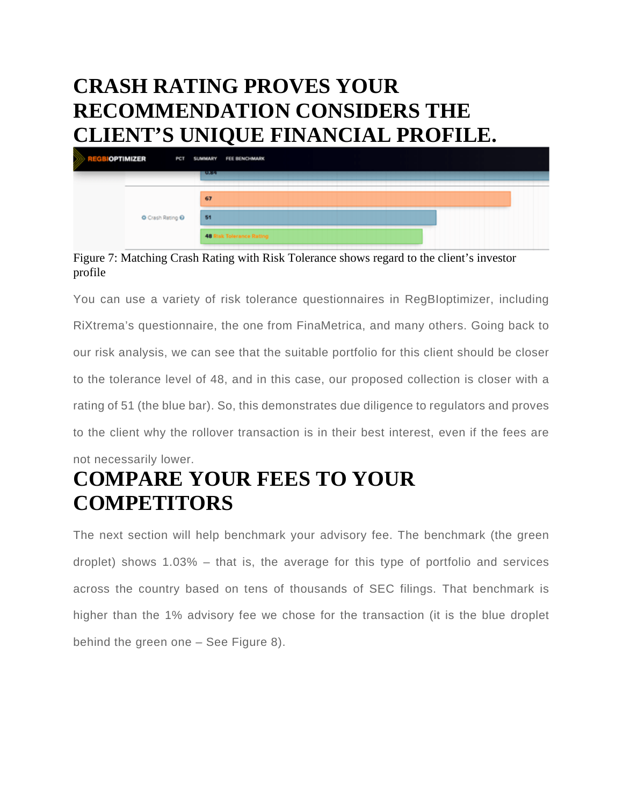### **CRASH RATING PROVES YOUR RECOMMENDATION CONSIDERS THE CLIENT'S UNIQUE FINANCIAL PROFILE.**

| <b>BOPTIMIZER</b> |                | PCT SUMMARY FEE BENCHMARK          |
|-------------------|----------------|------------------------------------|
|                   |                | <b>TURSE</b>                       |
|                   |                | 67                                 |
|                   | Crash Rating O | 51                                 |
|                   |                | 48<br><b>Risk Tolerance Rating</b> |

Figure 7: Matching Crash Rating with Risk Tolerance shows regard to the client's investor profile

You can use a variety of risk tolerance questionnaires in RegBIoptimizer, including RiXtrema's questionnaire, the one from FinaMetrica, and many others. Going back to our risk analysis, we can see that the suitable portfolio for this client should be closer to the tolerance level of 48, and in this case, our proposed collection is closer with a rating of 51 (the blue bar). So, this demonstrates due diligence to regulators and proves to the client why the rollover transaction is in their best interest, even if the fees are

#### not necessarily lower.

## **COMPARE YOUR FEES TO YOUR COMPETITORS**

The next section will help benchmark your advisory fee. The benchmark (the green droplet) shows 1.03% – that is, the average for this type of portfolio and services across the country based on tens of thousands of SEC filings. That benchmark is higher than the 1% advisory fee we chose for the transaction (it is the blue droplet behind the green one – See Figure 8).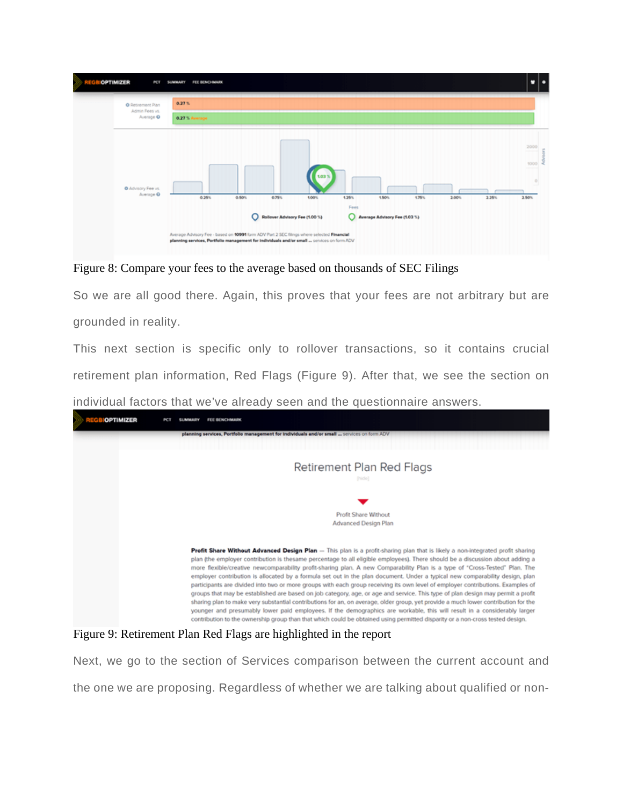

Figure 8: Compare your fees to the average based on thousands of SEC Filings

So we are all good there. Again, this proves that your fees are not arbitrary but are grounded in reality.

This next section is specific only to rollover transactions, so it contains crucial retirement plan information, Red Flags (Figure 9). After that, we see the section on

individual factors that we've already seen and the questionnaire answers.



Figure 9: Retirement Plan Red Flags are highlighted in the report

Next, we go to the section of Services comparison between the current account and the one we are proposing. Regardless of whether we are talking about qualified or non